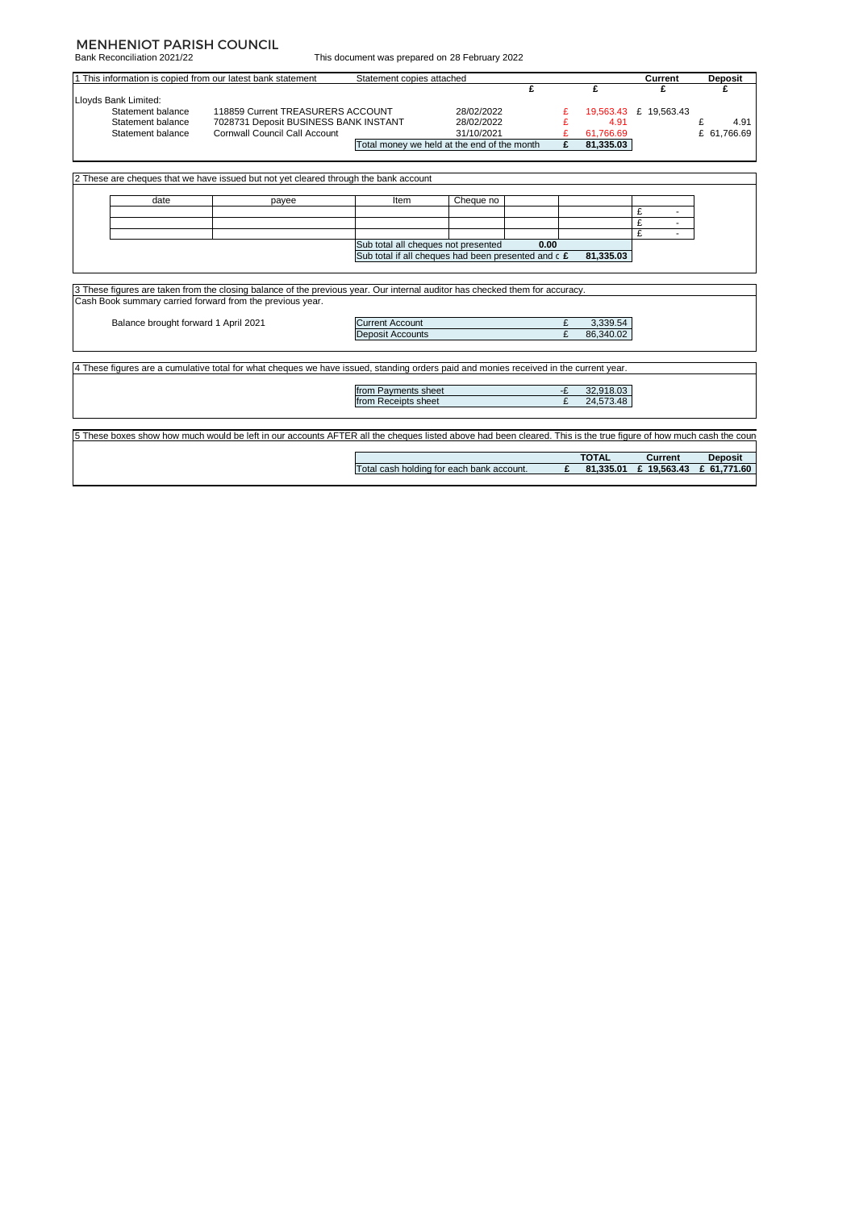#### MENHENIOT PARISH COUNCIL

Bank Reconciliation 2021/22

| 1 This information is copied from our latest bank statement |                                                                                                                                                                                           | Statement copies attached                           |            |      |    |              | Current                                             | <b>Deposit</b> |
|-------------------------------------------------------------|-------------------------------------------------------------------------------------------------------------------------------------------------------------------------------------------|-----------------------------------------------------|------------|------|----|--------------|-----------------------------------------------------|----------------|
|                                                             |                                                                                                                                                                                           |                                                     |            | £    |    | £            | £                                                   |                |
| Lloyds Bank Limited:                                        |                                                                                                                                                                                           |                                                     |            |      |    |              |                                                     |                |
| Statement balance                                           | 118859 Current TREASURERS ACCOUNT                                                                                                                                                         |                                                     | 28/02/2022 |      |    |              | 19,563.43 £ 19,563.43                               |                |
| Statement balance                                           | 7028731 Deposit BUSINESS BANK INSTANT                                                                                                                                                     |                                                     | 28/02/2022 |      |    | 4.91         |                                                     | £<br>4.91      |
| Statement balance                                           | <b>Cornwall Council Call Account</b>                                                                                                                                                      |                                                     | 31/10/2021 |      |    | 61,766.69    |                                                     | £ 61.766.69    |
|                                                             |                                                                                                                                                                                           | Total money we held at the end of the month         |            |      | £  | 81,335.03    |                                                     |                |
|                                                             | 2 These are cheques that we have issued but not yet cleared through the bank account                                                                                                      |                                                     |            |      |    |              |                                                     |                |
|                                                             |                                                                                                                                                                                           |                                                     |            |      |    |              |                                                     |                |
| date                                                        | payee                                                                                                                                                                                     | Item                                                | Cheque no  |      |    |              |                                                     |                |
|                                                             |                                                                                                                                                                                           |                                                     |            |      |    |              | £                                                   |                |
|                                                             |                                                                                                                                                                                           |                                                     |            |      |    |              | £                                                   |                |
|                                                             |                                                                                                                                                                                           |                                                     |            |      |    |              | £                                                   |                |
|                                                             |                                                                                                                                                                                           | Sub total all cheques not presented                 |            | 0.00 |    |              |                                                     |                |
|                                                             |                                                                                                                                                                                           |                                                     |            |      |    |              |                                                     |                |
|                                                             |                                                                                                                                                                                           | Sub total if all cheques had been presented and c £ |            |      |    | 81.335.03    |                                                     |                |
|                                                             | 3 These figures are taken from the closing balance of the previous year. Our internal auditor has checked them for accuracy.<br>Cash Book summary carried forward from the previous year. |                                                     |            |      |    |              |                                                     |                |
| Balance brought forward 1 April 2021                        |                                                                                                                                                                                           | <b>Current Account</b>                              |            |      | £  | 3,339.54     |                                                     |                |
|                                                             |                                                                                                                                                                                           | <b>Deposit Accounts</b>                             |            |      | £  | 86.340.02    |                                                     |                |
|                                                             | 4 These figures are a cumulative total for what cheques we have issued, standing orders paid and monies received in the current year.                                                     |                                                     |            |      |    |              |                                                     |                |
|                                                             |                                                                                                                                                                                           | from Payments sheet                                 |            |      | -£ | 32,918.03    |                                                     |                |
|                                                             |                                                                                                                                                                                           | from Receipts sheet                                 |            |      | £  | 24,573.48    |                                                     |                |
|                                                             |                                                                                                                                                                                           |                                                     |            |      |    |              |                                                     |                |
|                                                             | 5 These boxes show how much would be left in our accounts AFTER all the cheques listed above had been cleared. This is the true figure of how much cash the coun                          |                                                     |            |      |    |              |                                                     |                |
|                                                             |                                                                                                                                                                                           | Total cash holding for each bank account.           |            |      | £  | <b>TOTAL</b> | <b>Current</b><br>81,335.01 £ 19,563.43 £ 61,771.60 | <b>Deposit</b> |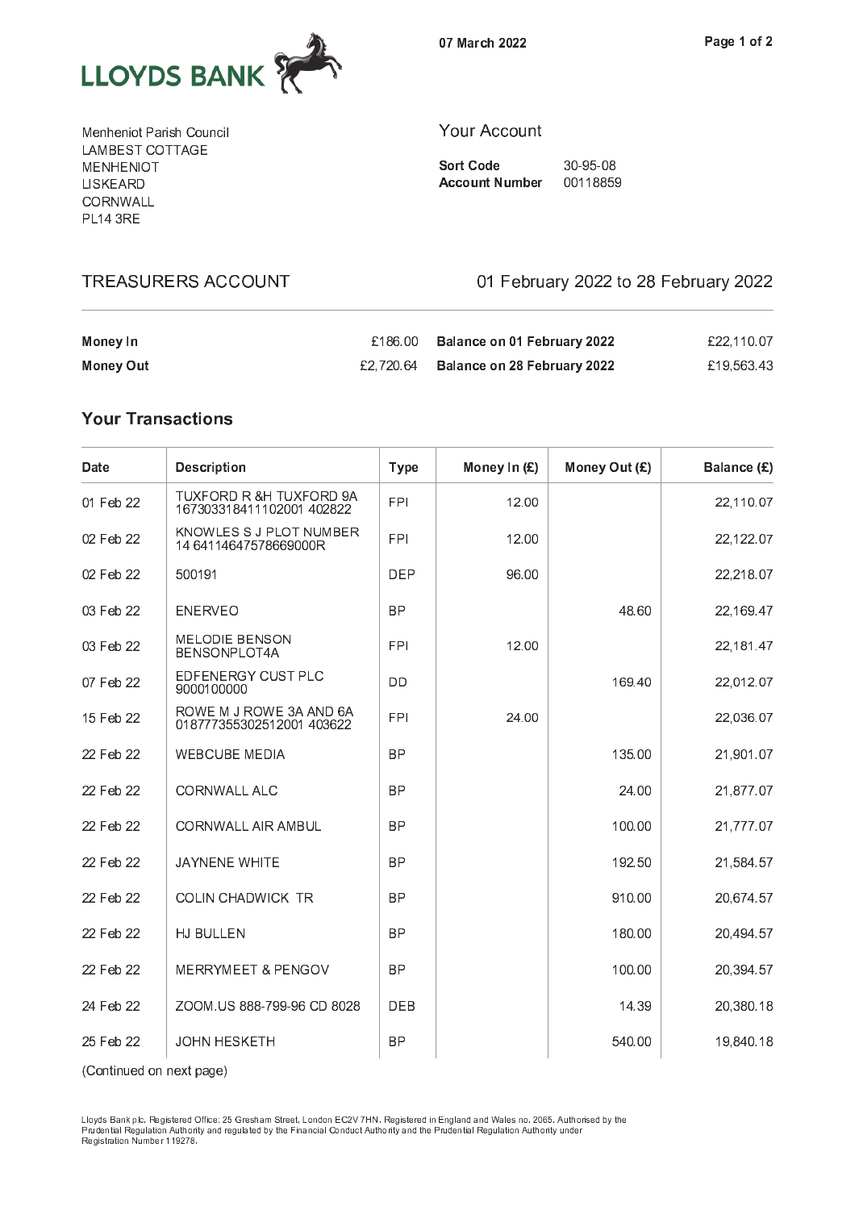

0 <sup>7</sup> <sup>M</sup> <sup>a</sup> r c <sup>h</sup> <sup>2</sup> <sup>0</sup> <sup>2</sup> <sup>2</sup>

M <sup>e</sup> <sup>n</sup> <sup>h</sup> <sup>e</sup> <sup>n</sup> i o <sup>t</sup> <sup>P</sup> <sup>a</sup> r i s <sup>h</sup> <sup>C</sup> <sup>o</sup> <sup>u</sup> <sup>n</sup> <sup>c</sup> i l . . . . <u>.</u> . . . . . . . . . M <sup>E</sup> <sup>N</sup> <sup>H</sup> <sup>E</sup> <sup>N</sup> I O <sup>T</sup> L I S <sup>K</sup> <sup>E</sup> <sup>A</sup> <sup>R</sup> <sup>D</sup> \_ \_ \_ . . . . . . — . . . <del>.</del> —

**TREASURERS ACCOUNT** 

#### $\sim$  0 c c o u n t  $\sim$  0 c o u n t  $\sim$  0 c o u n t  $\sim$  0 c o u n t  $\sim$  0 c o u n t  $\sim$

S o r t C o d e 3 d e 3 d e 3 d e 3 d e 3 d e 3 d e 3 d e 3 d e 3 d e 3 d e 3 d e 3 d e 3 d e 3 d e 3 d e 3 d A c o u n t n t n b e r o u m b e r o u m b e r o u m b e r o u m b e r o u m b e r o u m b e r o u m b e r o

 $\overline{7}$ 

01 February 2022 to 28 February 2022

| Money In  | £186.00 Balance on 01 February 2022     | £22.110.07 |
|-----------|-----------------------------------------|------------|
| Money Out | $£2,720.64$ Balance on 28 February 2022 | £19.563.43 |

# **Your Transactions**

| Date      | <b>Description</b>                                   | <b>Type</b> | Money In (£) | Money Out (£) | Balance (£) |
|-----------|------------------------------------------------------|-------------|--------------|---------------|-------------|
| 01 Feb 22 | TUXFORD R &H TUXFORD 9A<br>167303318411102001 402822 | <b>FPI</b>  | 12.00        |               | 22,110.07   |
| 02 Feb 22 | KNOWLES S J PLOT NUMBER<br>1464114647578669000R      | <b>FPI</b>  | 12.00        |               | 22,122.07   |
| 02 Feb 22 | 500191                                               | <b>DEP</b>  | 96.00        |               | 22,218.07   |
| 03 Feb 22 | <b>ENERVEO</b>                                       | <b>BP</b>   |              | 48.60         | 22,169.47   |
| 03 Feb 22 | <b>MELODIE BENSON</b><br>BENSONPLOT4A                | <b>FPI</b>  | 12.00        |               | 22, 181.47  |
| 07 Feb 22 | EDFENERGY CUST PLC<br>9000100000                     | <b>DD</b>   |              | 169.40        | 22,012.07   |
| 15 Feb 22 | ROWE M J ROWE 3A AND 6A<br>018777355302512001 403622 | <b>FPI</b>  | 24.00        |               | 22,036.07   |
| 22 Feb 22 | <b>WEBCUBE MEDIA</b>                                 | <b>BP</b>   |              | 135.00        | 21,901.07   |
| 22 Feb 22 | <b>CORNWALL ALC</b>                                  | <b>BP</b>   |              | 24.00         | 21,877.07   |
| 22 Feb 22 | <b>CORNWALL AIR AMBUL</b>                            | <b>BP</b>   |              | 100.00        | 21,777.07   |
| 22 Feb 22 | <b>JAYNENE WHITE</b>                                 | <b>BP</b>   |              | 192.50        | 21,584.57   |
| 22 Feb 22 | <b>COLIN CHADWICK TR</b>                             | BP          |              | 910.00        | 20,674.57   |
| 22 Feb 22 | HJ BULLEN                                            | <b>BP</b>   |              | 180.00        | 20,494.57   |
| 22 Feb 22 | MERRYMEET & PENGOV                                   | <b>BP</b>   |              | 100.00        | 20,394.57   |
| 24 Feb 22 | ZOOM.US 888-799-96 CD 8028                           | <b>DEB</b>  |              | 14.39         | 20,380.18   |
| 25 Feb 22 | <b>JOHN HESKETH</b>                                  | <b>BP</b>   |              | 540.00        | 19,840.18   |

P r u d e n t i a l R e g u l a t i o n <sup>A</sup> u t h o r i t y a n d r e g u l a t e d b y t h e F i n a n c i a l C o n d u c t A u t h o r i t y a n d t h e <sup>P</sup> r u d e n t i a l R e g u l a t i o n <sup>A</sup> u t h o r i t y u n d e r R e c'hoariezh ar dialekt inalez en an dialekt inalez a t inalez a t ioan benn a t ioan benn an dialekt benn a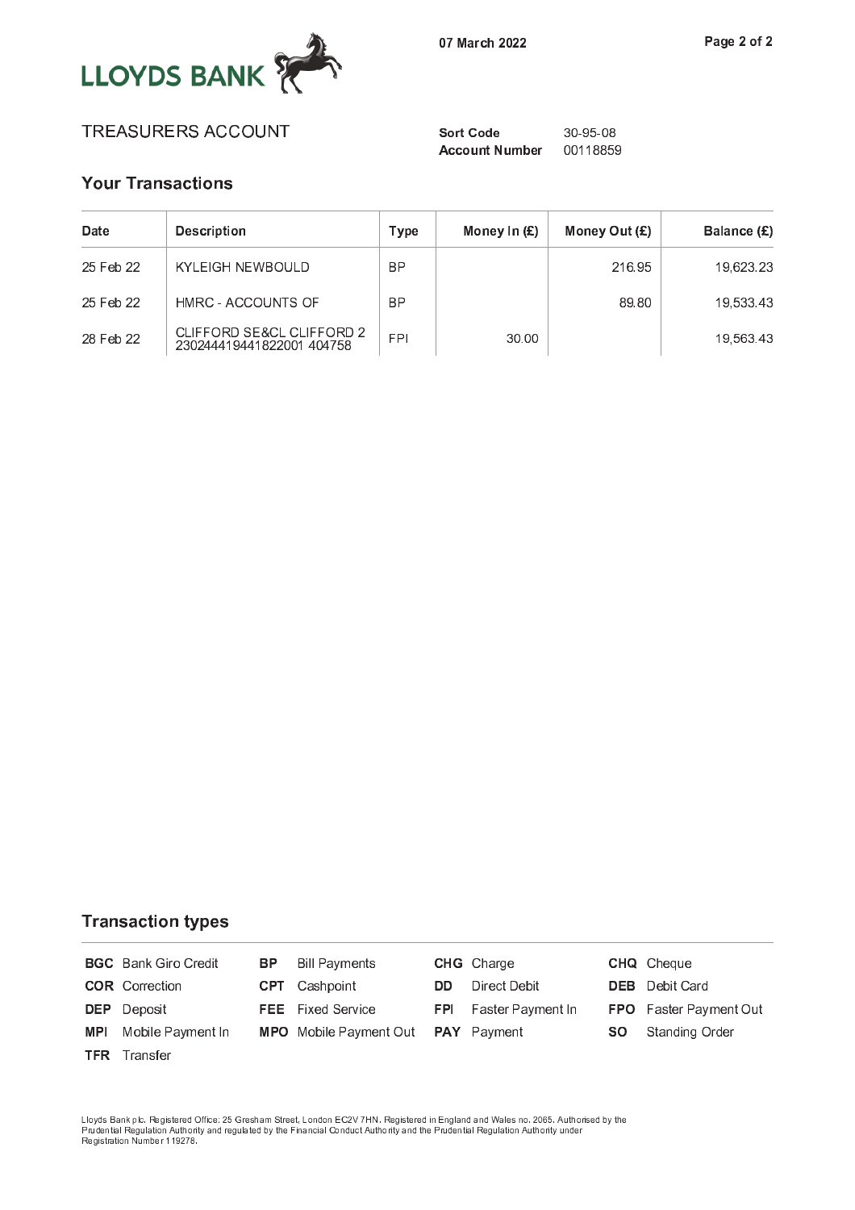

# T <sup>R</sup> <sup>E</sup> <sup>A</sup> <sup>S</sup> <sup>U</sup> <sup>R</sup> <sup>E</sup> <sup>R</sup> <sup>S</sup> <sup>A</sup> <sup>C</sup> <sup>C</sup> <sup>O</sup> <sup>U</sup> <sup>N</sup> <sup>T</sup> <sup>S</sup> <sup>o</sup> <sup>r</sup> t <sup>C</sup> <sup>o</sup> <sup>d</sup> <sup>e</sup> <sup>3</sup> <sup>0</sup> <sup>Ã</sup> 9 <sup>5</sup> <sup>Ã</sup> 0 <sup>8</sup>

### y and the second contract of the second contract of the second contract of the second contract of the second contract of the second contract of the second contract of the second contract of the second contract of the secon

| Date      | <b>Description</b>                                    | Type       | Money In $(E)$ | Money Out $(E)$ | Balance (£) |
|-----------|-------------------------------------------------------|------------|----------------|-----------------|-------------|
| 25 Feb 22 | KYLEIGH NEWBOULD                                      | <b>BP</b>  |                | 216.95          | 19.623.23   |
| 25 Feb 22 | HMRC - ACCOUNTS OF                                    | <b>BP</b>  |                | 89.80           | 19.533.43   |
| 28 Feb 22 | CLIFFORD SE&CL CLIFFORD 2<br>230244419441822001404758 | <b>FPI</b> | 30.00          |                 | 19,563.43   |

#### T r a n s a c t i o n t y p e s a c t i o n t y p e s a c t i o n t y p e s a c t i o n t y p e s a c t i o n

|            | <b>BGC</b> Bank Giro Credit | BP. | <b>Bill Payments</b>          |     | <b>CHG</b> Charge            |           | <b>CHQ</b> Cheque      |
|------------|-----------------------------|-----|-------------------------------|-----|------------------------------|-----------|------------------------|
|            | <b>COR</b> Correction       |     | <b>CPT</b> Cashpoint          | DD. | Direct Debit                 |           | <b>DEB</b> Debit Card  |
|            | <b>DEP</b> Deposit          |     | <b>FEE</b> Fixed Service      |     | <b>FPI</b> Faster Payment In |           | FPO Faster Payment Out |
| <b>MPI</b> | Mobile Payment In           |     | <b>MPO</b> Mobile Payment Out |     | <b>PAY</b> Payment           | <b>SO</b> | Standing Order         |
|            | <b>TFR</b> Transfer         |     |                               |     |                              |           |                        |

P <sup>r</sup> u d e n t i a l R <sup>e</sup> g u l a t i o n <sup>A</sup> <sup>u</sup> t h o r i t y <sup>a</sup> n d <sup>r</sup> e g u l a t e d <sup>b</sup> y <sup>t</sup> h e <sup>F</sup> i n a n c i a l C <sup>o</sup> n d u c t A <sup>u</sup> t h o r i t y <sup>a</sup> n d <sup>t</sup> h e <sup>P</sup> <sup>r</sup> u d e n t i a l R <sup>e</sup> g u l a t i o n <sup>A</sup> <sup>u</sup> t h o r i t y <sup>u</sup> n d e r R e s e r a t i de regional de la termina de la constancia de la constancia de la constancia de la constancia